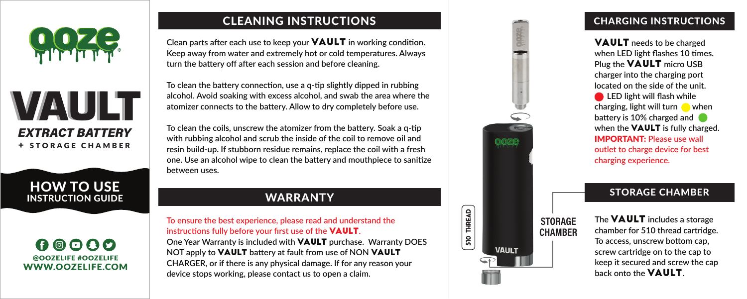





#### $00000$ @OOZELIFF #OOZELIFF WWW.OOZELIFE.COM

### CLEANING INSTRUCTIONS

**Clean parts after each use to keep your VAULT** in working condition. **Keep away from water and extremely hot or cold temperatures. Always turn the battery off after each session and before cleaning.** 

**To clean the battery connection, use a q-tip slightly dipped in rubbing alcohol. Avoid soaking with excess alcohol, and swab the area where the atomizer connects to the battery. Allow to dry completely before use.**

**To clean the coils, unscrew the atomizer from the battery. Soak a q-tip with rubbing alcohol and scrub the inside of the coil to remove oil and resin build-up. If stubborn residue remains, replace the coil with a fresh one. Use an alcohol wipe to clean the battery and mouthpiece to sanitize between uses.**

### **WARRANTY**

**To ensure the best experience, please read and understand the instructions fully before your first use of the** VAULT**.** 

**One Year Warranty is included with** VAULT **purchase. Warranty DOES NOT apply to** VAULT **battery at fault from use of NON** VAULT **CHARGER, or if there is any physical damage. If for any reason your device stops working, please contact us to open a claim.**



**THREAD**  $\mathsf{^{51}0}$ 

**STORAGE CHAMBER**

#### CHARGING INSTRUCTIONS

VAULT **needs to be charged when LED light flashes 10 times. Plug the** VAULT **micro USB charger into the charging port located on the side of the unit. ED light will flash while charging, light will turn**  when **battery is 10% charged and when the** VAULT **is fully charged.**  IMPORTANT: **Please use wall outlet to charge device for best charging experience.**

#### STORAGE CHAMBER

**The** VAULT **includes a storage chamber for 510 thread cartridge. To access, unscrew bottom cap, screw cartridge on to the cap to keep it secured and screw the cap back onto the VAULT.**